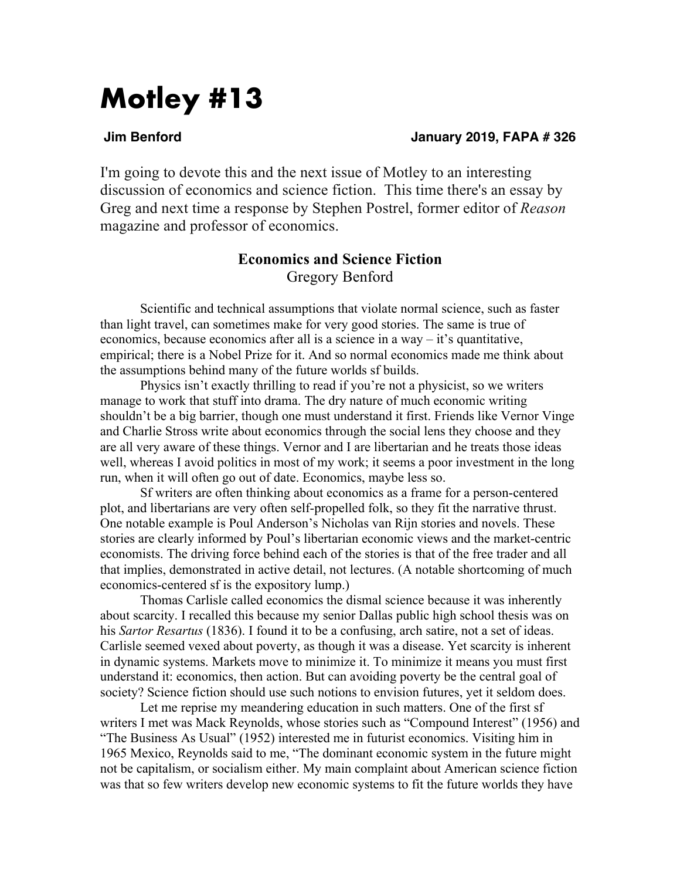# **Motley #13**

### **Jim Benford January 2019, FAPA # 326**

I'm going to devote this and the next issue of Motley to an interesting discussion of economics and science fiction. This time there's an essay by Greg and next time a response by Stephen Postrel, former editor of *Reason* magazine and professor of economics.

## **Economics and Science Fiction** Gregory Benford

Scientific and technical assumptions that violate normal science, such as faster than light travel, can sometimes make for very good stories. The same is true of economics, because economics after all is a science in a way – it's quantitative, empirical; there is a Nobel Prize for it. And so normal economics made me think about the assumptions behind many of the future worlds sf builds.

Physics isn't exactly thrilling to read if you're not a physicist, so we writers manage to work that stuff into drama. The dry nature of much economic writing shouldn't be a big barrier, though one must understand it first. Friends like Vernor Vinge and Charlie Stross write about economics through the social lens they choose and they are all very aware of these things. Vernor and I are libertarian and he treats those ideas well, whereas I avoid politics in most of my work; it seems a poor investment in the long run, when it will often go out of date. Economics, maybe less so.

Sf writers are often thinking about economics as a frame for a person-centered plot, and libertarians are very often self-propelled folk, so they fit the narrative thrust. One notable example is Poul Anderson's Nicholas van Rijn stories and novels. These stories are clearly informed by Poul's libertarian economic views and the market-centric economists. The driving force behind each of the stories is that of the free trader and all that implies, demonstrated in active detail, not lectures. (A notable shortcoming of much economics-centered sf is the expository lump.)

Thomas Carlisle called economics the dismal science because it was inherently about scarcity. I recalled this because my senior Dallas public high school thesis was on his *Sartor Resartus* (1836). I found it to be a confusing, arch satire, not a set of ideas. Carlisle seemed vexed about poverty, as though it was a disease. Yet scarcity is inherent in dynamic systems. Markets move to minimize it. To minimize it means you must first understand it: economics, then action. But can avoiding poverty be the central goal of society? Science fiction should use such notions to envision futures, yet it seldom does.

Let me reprise my meandering education in such matters. One of the first sf writers I met was Mack Reynolds, whose stories such as "Compound Interest" (1956) and "The Business As Usual" (1952) interested me in futurist economics. Visiting him in 1965 Mexico, Reynolds said to me, "The dominant economic system in the future might not be capitalism, or socialism either. My main complaint about American science fiction was that so few writers develop new economic systems to fit the future worlds they have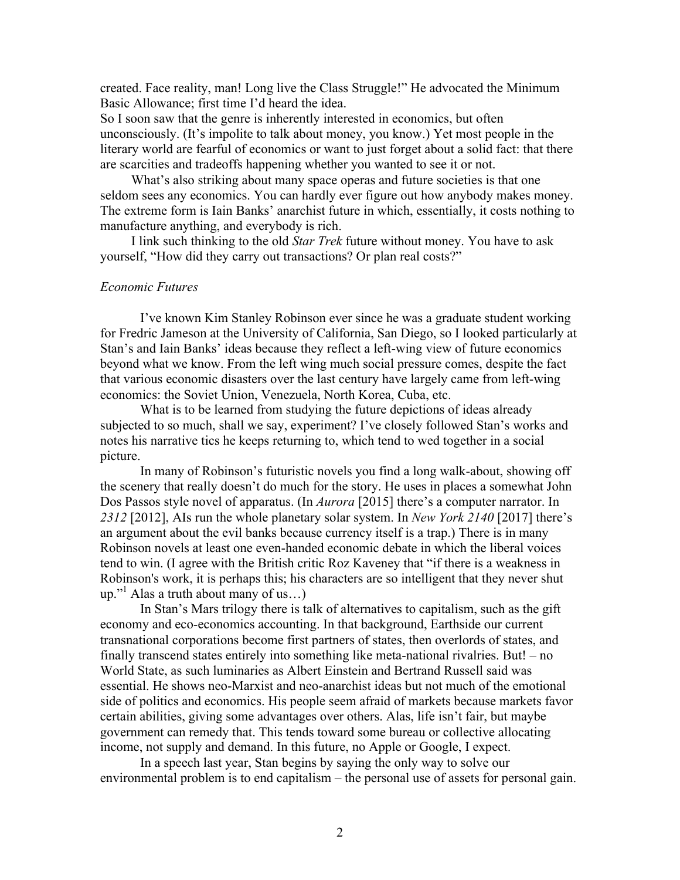created. Face reality, man! Long live the Class Struggle!" He advocated the Minimum Basic Allowance; first time I'd heard the idea.

So I soon saw that the genre is inherently interested in economics, but often unconsciously. (It's impolite to talk about money, you know.) Yet most people in the literary world are fearful of economics or want to just forget about a solid fact: that there are scarcities and tradeoffs happening whether you wanted to see it or not.

What's also striking about many space operas and future societies is that one seldom sees any economics. You can hardly ever figure out how anybody makes money. The extreme form is Iain Banks' anarchist future in which, essentially, it costs nothing to manufacture anything, and everybody is rich.

I link such thinking to the old *Star Trek* future without money. You have to ask yourself, "How did they carry out transactions? Or plan real costs?"

#### *Economic Futures*

I've known Kim Stanley Robinson ever since he was a graduate student working for Fredric Jameson at the University of California, San Diego, so I looked particularly at Stan's and Iain Banks' ideas because they reflect a left-wing view of future economics beyond what we know. From the left wing much social pressure comes, despite the fact that various economic disasters over the last century have largely came from left-wing economics: the Soviet Union, Venezuela, North Korea, Cuba, etc.

What is to be learned from studying the future depictions of ideas already subjected to so much, shall we say, experiment? I've closely followed Stan's works and notes his narrative tics he keeps returning to, which tend to wed together in a social picture.

In many of Robinson's futuristic novels you find a long walk-about, showing off the scenery that really doesn't do much for the story. He uses in places a somewhat John Dos Passos style novel of apparatus. (In *Aurora* [2015] there's a computer narrator. In *2312* [2012], AIs run the whole planetary solar system. In *New York 2140* [2017] there's an argument about the evil banks because currency itself is a trap.) There is in many Robinson novels at least one even-handed economic debate in which the liberal voices tend to win. (I agree with the British critic Roz Kaveney that "if there is a weakness in Robinson's work, it is perhaps this; his characters are so intelligent that they never shut up."1 Alas a truth about many of us…)

In Stan's Mars trilogy there is talk of alternatives to capitalism, such as the gift economy and eco-economics accounting. In that background, Earthside our current transnational corporations become first partners of states, then overlords of states, and finally transcend states entirely into something like meta-national rivalries. But! – no World State, as such luminaries as Albert Einstein and Bertrand Russell said was essential. He shows neo-Marxist and neo-anarchist ideas but not much of the emotional side of politics and economics. His people seem afraid of markets because markets favor certain abilities, giving some advantages over others. Alas, life isn't fair, but maybe government can remedy that. This tends toward some bureau or collective allocating income, not supply and demand. In this future, no Apple or Google, I expect.

In a speech last year, Stan begins by saying the only way to solve our environmental problem is to end capitalism – the personal use of assets for personal gain.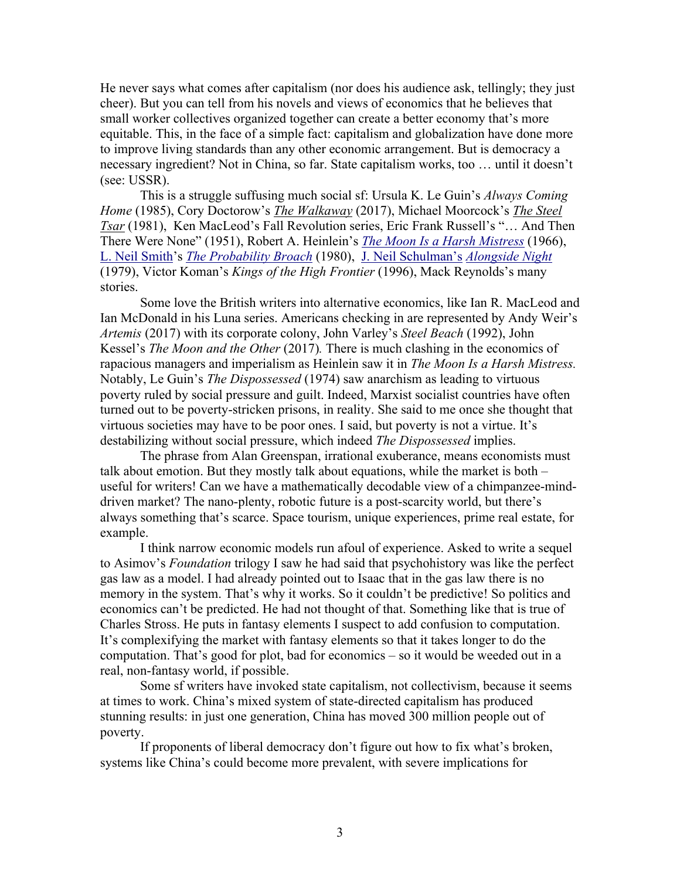He never says what comes after capitalism (nor does his audience ask, tellingly; they just cheer). But you can tell from his novels and views of economics that he believes that small worker collectives organized together can create a better economy that's more equitable. This, in the face of a simple fact: capitalism and globalization have done more to improve living standards than any other economic arrangement. But is democracy a necessary ingredient? Not in China, so far. State capitalism works, too … until it doesn't (see: USSR).

This is a struggle suffusing much social sf: Ursula K. Le Guin's *Always Coming Home* (1985), Cory Doctorow's *The Walkaway* (2017), Michael Moorcock's *The Steel Tsar* (1981), Ken MacLeod's Fall Revolution series, Eric Frank Russell's "… And Then There Were None" (1951), Robert A. Heinlein's *The Moon Is a Harsh Mistress* (1966), L. Neil Smith's *The Probability Broach* (1980), J. Neil Schulman's *Alongside Night* (1979), Victor Koman's *Kings of the High Frontier* (1996), Mack Reynolds's many stories.

Some love the British writers into alternative economics, like Ian R. MacLeod and Ian McDonald in his Luna series. Americans checking in are represented by Andy Weir's *Artemis* (2017) with its corporate colony, John Varley's *Steel Beach* (1992), John Kessel's *The Moon and the Other* (2017)*.* There is much clashing in the economics of rapacious managers and imperialism as Heinlein saw it in *The Moon Is a Harsh Mistress.*  Notably, Le Guin's *The Dispossessed* (1974) saw anarchism as leading to virtuous poverty ruled by social pressure and guilt. Indeed, Marxist socialist countries have often turned out to be poverty-stricken prisons, in reality. She said to me once she thought that virtuous societies may have to be poor ones. I said, but poverty is not a virtue. It's destabilizing without social pressure, which indeed *The Dispossessed* implies.

The phrase from Alan Greenspan, irrational exuberance, means economists must talk about emotion. But they mostly talk about equations, while the market is both – useful for writers! Can we have a mathematically decodable view of a chimpanzee-minddriven market? The nano-plenty, robotic future is a post-scarcity world, but there's always something that's scarce. Space tourism, unique experiences, prime real estate, for example.

I think narrow economic models run afoul of experience. Asked to write a sequel to Asimov's *Foundation* trilogy I saw he had said that psychohistory was like the perfect gas law as a model. I had already pointed out to Isaac that in the gas law there is no memory in the system. That's why it works. So it couldn't be predictive! So politics and economics can't be predicted. He had not thought of that. Something like that is true of Charles Stross. He puts in fantasy elements I suspect to add confusion to computation. It's complexifying the market with fantasy elements so that it takes longer to do the computation. That's good for plot, bad for economics – so it would be weeded out in a real, non-fantasy world, if possible.

Some sf writers have invoked state capitalism, not collectivism, because it seems at times to work. China's mixed system of state-directed capitalism has produced stunning results: in just one generation, China has moved 300 million people out of poverty.

If proponents of liberal democracy don't figure out how to fix what's broken, systems like China's could become more prevalent, with severe implications for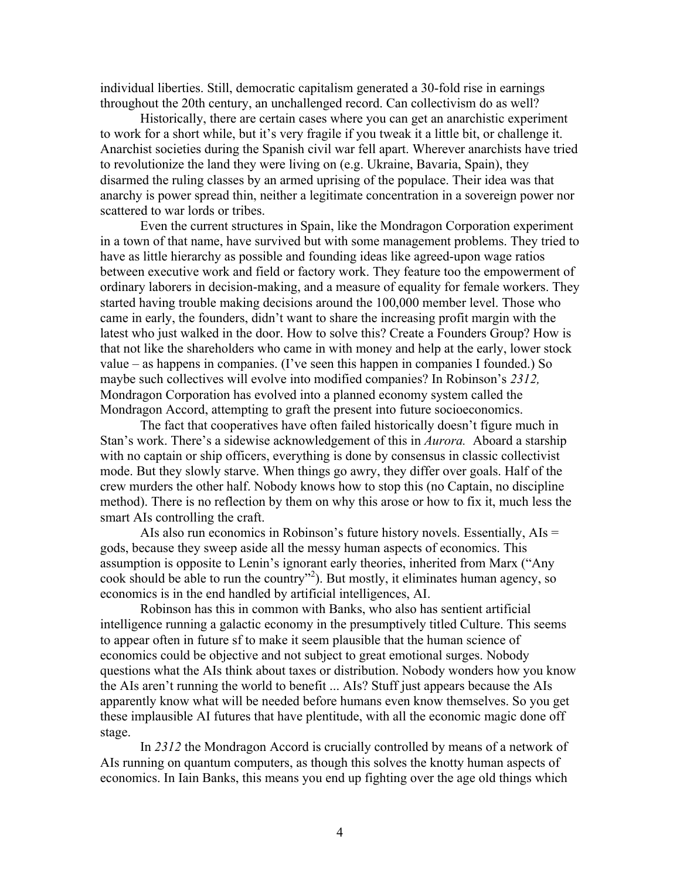individual liberties. Still, democratic capitalism generated a 30-fold rise in earnings throughout the 20th century, an unchallenged record. Can collectivism do as well?

Historically, there are certain cases where you can get an anarchistic experiment to work for a short while, but it's very fragile if you tweak it a little bit, or challenge it. Anarchist societies during the Spanish civil war fell apart. Wherever anarchists have tried to revolutionize the land they were living on (e.g. Ukraine, Bavaria, Spain), they disarmed the ruling classes by an armed uprising of the populace. Their idea was that anarchy is power spread thin, neither a legitimate concentration in a sovereign power nor scattered to war lords or tribes.

Even the current structures in Spain, like the Mondragon Corporation experiment in a town of that name, have survived but with some management problems. They tried to have as little hierarchy as possible and founding ideas like agreed-upon wage ratios between executive work and field or factory work. They feature too the empowerment of ordinary laborers in decision-making, and a measure of equality for female workers. They started having trouble making decisions around the 100,000 member level. Those who came in early, the founders, didn't want to share the increasing profit margin with the latest who just walked in the door. How to solve this? Create a Founders Group? How is that not like the shareholders who came in with money and help at the early, lower stock value – as happens in companies. (I've seen this happen in companies I founded.) So maybe such collectives will evolve into modified companies? In Robinson's *2312,*  Mondragon Corporation has evolved into a planned economy system called the Mondragon Accord, attempting to graft the present into future socioeconomics.

The fact that cooperatives have often failed historically doesn't figure much in Stan's work. There's a sidewise acknowledgement of this in *Aurora.* Aboard a starship with no captain or ship officers, everything is done by consensus in classic collectivist mode. But they slowly starve. When things go awry, they differ over goals. Half of the crew murders the other half. Nobody knows how to stop this (no Captain, no discipline method). There is no reflection by them on why this arose or how to fix it, much less the smart AIs controlling the craft.

AIs also run economics in Robinson's future history novels. Essentially, AIs = gods, because they sweep aside all the messy human aspects of economics. This assumption is opposite to Lenin's ignorant early theories, inherited from Marx ("Any cook should be able to run the country"<sup>2</sup>). But mostly, it eliminates human agency, so economics is in the end handled by artificial intelligences, AI.

Robinson has this in common with Banks, who also has sentient artificial intelligence running a galactic economy in the presumptively titled Culture. This seems to appear often in future sf to make it seem plausible that the human science of economics could be objective and not subject to great emotional surges. Nobody questions what the AIs think about taxes or distribution. Nobody wonders how you know the AIs aren't running the world to benefit ... AIs? Stuff just appears because the AIs apparently know what will be needed before humans even know themselves. So you get these implausible AI futures that have plentitude, with all the economic magic done off stage.

In *2312* the Mondragon Accord is crucially controlled by means of a network of AIs running on quantum computers, as though this solves the knotty human aspects of economics. In Iain Banks, this means you end up fighting over the age old things which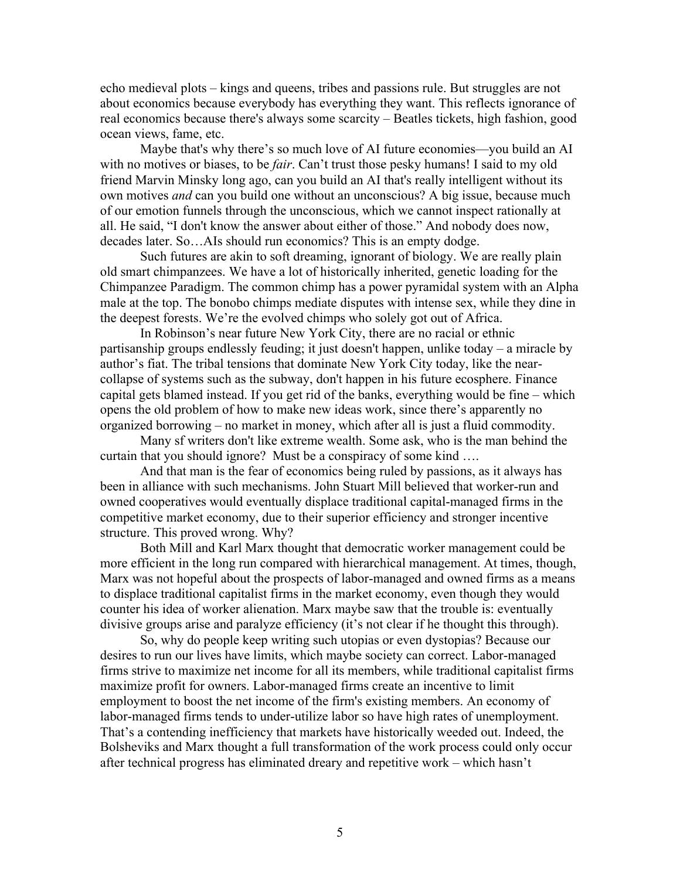echo medieval plots – kings and queens, tribes and passions rule. But struggles are not about economics because everybody has everything they want. This reflects ignorance of real economics because there's always some scarcity – Beatles tickets, high fashion, good ocean views, fame, etc.

Maybe that's why there's so much love of AI future economies—you build an AI with no motives or biases, to be *fair*. Can't trust those pesky humans! I said to my old friend Marvin Minsky long ago, can you build an AI that's really intelligent without its own motives *and* can you build one without an unconscious? A big issue, because much of our emotion funnels through the unconscious, which we cannot inspect rationally at all. He said, "I don't know the answer about either of those." And nobody does now, decades later. So…AIs should run economics? This is an empty dodge.

Such futures are akin to soft dreaming, ignorant of biology. We are really plain old smart chimpanzees. We have a lot of historically inherited, genetic loading for the Chimpanzee Paradigm. The common chimp has a power pyramidal system with an Alpha male at the top. The bonobo chimps mediate disputes with intense sex, while they dine in the deepest forests. We're the evolved chimps who solely got out of Africa.

In Robinson's near future New York City, there are no racial or ethnic partisanship groups endlessly feuding; it just doesn't happen, unlike today – a miracle by author's fiat. The tribal tensions that dominate New York City today, like the nearcollapse of systems such as the subway, don't happen in his future ecosphere. Finance capital gets blamed instead. If you get rid of the banks, everything would be fine – which opens the old problem of how to make new ideas work, since there's apparently no organized borrowing – no market in money, which after all is just a fluid commodity.

Many sf writers don't like extreme wealth. Some ask, who is the man behind the curtain that you should ignore? Must be a conspiracy of some kind ….

And that man is the fear of economics being ruled by passions, as it always has been in alliance with such mechanisms. John Stuart Mill believed that worker-run and owned cooperatives would eventually displace traditional capital-managed firms in the competitive market economy, due to their superior efficiency and stronger incentive structure. This proved wrong. Why?

Both Mill and Karl Marx thought that democratic worker management could be more efficient in the long run compared with hierarchical management. At times, though, Marx was not hopeful about the prospects of labor-managed and owned firms as a means to displace traditional capitalist firms in the market economy, even though they would counter his idea of worker alienation. Marx maybe saw that the trouble is: eventually divisive groups arise and paralyze efficiency (it's not clear if he thought this through).

So, why do people keep writing such utopias or even dystopias? Because our desires to run our lives have limits, which maybe society can correct. Labor-managed firms strive to maximize net income for all its members, while traditional capitalist firms maximize profit for owners. Labor-managed firms create an incentive to limit employment to boost the net income of the firm's existing members. An economy of labor-managed firms tends to under-utilize labor so have high rates of unemployment. That's a contending inefficiency that markets have historically weeded out. Indeed, the Bolsheviks and Marx thought a full transformation of the work process could only occur after technical progress has eliminated dreary and repetitive work – which hasn't